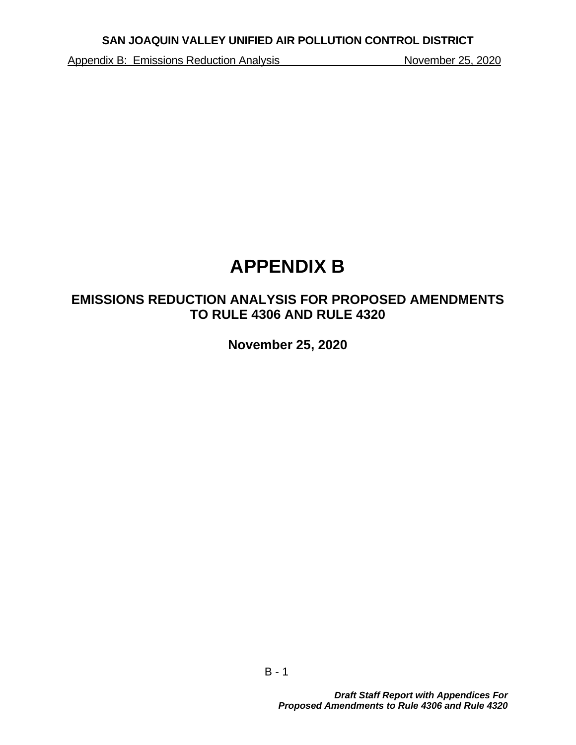Appendix B: Emissions Reduction Analysis November 25, 2020

# **APPENDIX B**

## **EMISSIONS REDUCTION ANALYSIS FOR PROPOSED AMENDMENTS TO RULE 4306 AND RULE 4320**

**November 25, 2020**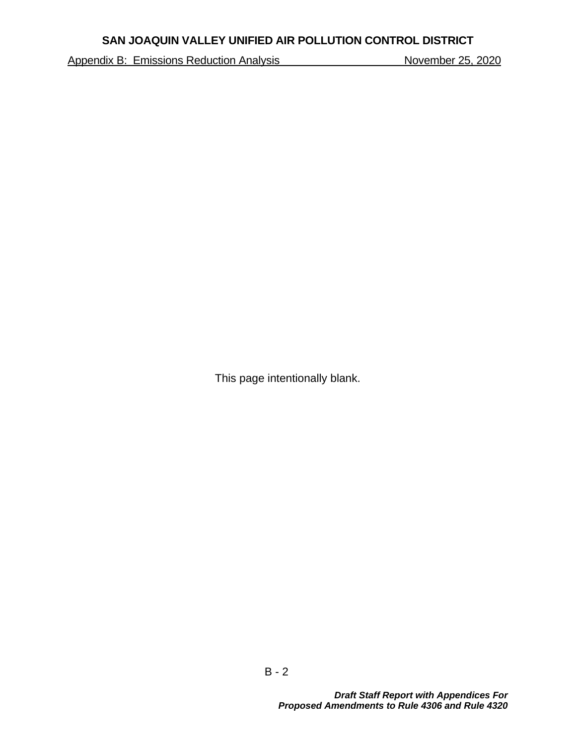Appendix B: Emissions Reduction Analysis November 25, 2020

This page intentionally blank.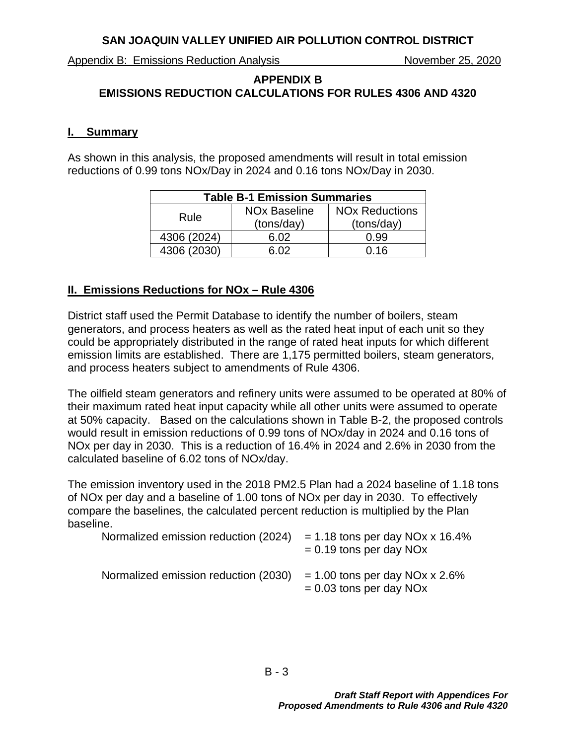Appendix B: Emissions Reduction Analysis November 25, 2020

#### **APPENDIX B EMISSIONS REDUCTION CALCULATIONS FOR RULES 4306 AND 4320**

#### **I. Summary**

As shown in this analysis, the proposed amendments will result in total emission reductions of 0.99 tons NOx/Day in 2024 and 0.16 tons NOx/Day in 2030.

| <b>Table B-1 Emission Summaries</b> |                                |                                  |  |  |  |  |  |  |  |  |
|-------------------------------------|--------------------------------|----------------------------------|--|--|--|--|--|--|--|--|
| Rule                                | <b>NO<sub>x</sub></b> Baseline | <b>NO<sub>x</sub></b> Reductions |  |  |  |  |  |  |  |  |
|                                     | (tons/day)                     | (tons/day)                       |  |  |  |  |  |  |  |  |
| 4306 (2024)                         | 6.02.                          | Ი 99                             |  |  |  |  |  |  |  |  |
| 4306 (2030)                         | R N2.                          | 0.16                             |  |  |  |  |  |  |  |  |

## **II. Emissions Reductions for NOx – Rule 4306**

District staff used the Permit Database to identify the number of boilers, steam generators, and process heaters as well as the rated heat input of each unit so they could be appropriately distributed in the range of rated heat inputs for which different emission limits are established. There are 1,175 permitted boilers, steam generators, and process heaters subject to amendments of Rule 4306.

The oilfield steam generators and refinery units were assumed to be operated at 80% of their maximum rated heat input capacity while all other units were assumed to operate at 50% capacity. Based on the calculations shown in Table B-2, the proposed controls would result in emission reductions of 0.99 tons of NOx/day in 2024 and 0.16 tons of NOx per day in 2030. This is a reduction of 16.4% in 2024 and 2.6% in 2030 from the calculated baseline of 6.02 tons of NOx/day.

The emission inventory used in the 2018 PM2.5 Plan had a 2024 baseline of 1.18 tons of NOx per day and a baseline of 1.00 tons of NOx per day in 2030. To effectively compare the baselines, the calculated percent reduction is multiplied by the Plan baseline.

| Normalized emission reduction (2024) | $= 1.18$ tons per day NOx x 16.4%<br>$= 0.19$ tons per day NOx |
|--------------------------------------|----------------------------------------------------------------|
| Normalized emission reduction (2030) | $= 1.00$ tons per day NOx x 2.6%<br>$= 0.03$ tons per day NOx  |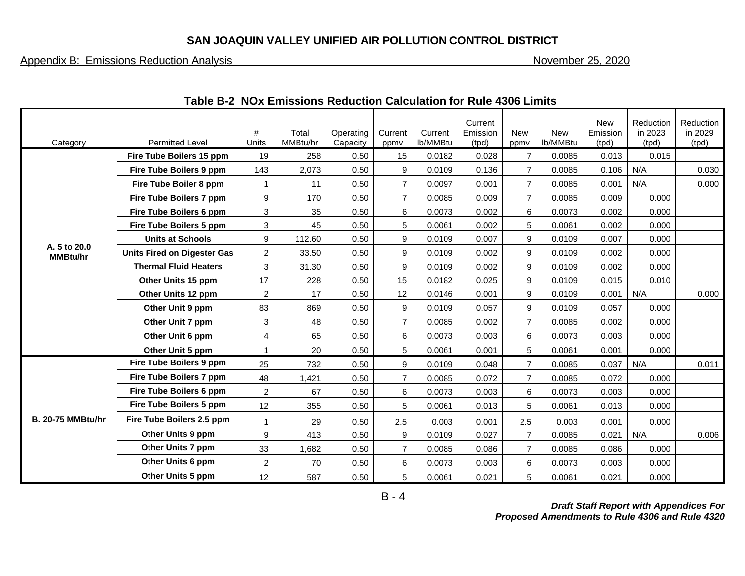#### Appendix B: Emissions Reduction Analysis November 25, 2020

| Category                        | <b>Permitted Level</b>             | #<br>Units       | Total<br>MMBtu/hr | Operating<br>Capacity | Current<br>ppmv | Current<br>lb/MMBtu | Current<br>Emission<br>(tpd) | <b>New</b><br>ppmv | <b>New</b><br>lb/MMBtu | <b>New</b><br>Emission<br>(tpd) | Reduction<br>in 2023<br>(tpd) | Reduction<br>in 2029<br>(tpd) |
|---------------------------------|------------------------------------|------------------|-------------------|-----------------------|-----------------|---------------------|------------------------------|--------------------|------------------------|---------------------------------|-------------------------------|-------------------------------|
|                                 | Fire Tube Boilers 15 ppm           | 19               | 258               | 0.50                  | 15              | 0.0182              | 0.028                        | $\overline{7}$     | 0.0085                 | 0.013                           | 0.015                         |                               |
|                                 | Fire Tube Boilers 9 ppm            | 143              | 2,073             | 0.50                  | $9\,$           | 0.0109              | 0.136                        | $\overline{7}$     | 0.0085                 | 0.106                           | N/A                           | 0.030                         |
|                                 | Fire Tube Boiler 8 ppm             |                  | 11                | 0.50                  | $\overline{7}$  | 0.0097              | 0.001                        | $\overline{7}$     | 0.0085                 | 0.001                           | N/A                           | 0.000                         |
|                                 | Fire Tube Boilers 7 ppm            | 9                | 170               | 0.50                  | $\overline{7}$  | 0.0085              | 0.009                        | $\overline{7}$     | 0.0085                 | 0.009                           | 0.000                         |                               |
|                                 | Fire Tube Boilers 6 ppm            | 3                | 35                | 0.50                  | 6               | 0.0073              | 0.002                        | $\,6$              | 0.0073                 | 0.002                           | 0.000                         |                               |
|                                 | Fire Tube Boilers 5 ppm            | 3                | 45                | 0.50                  | 5               | 0.0061              | 0.002                        | 5                  | 0.0061                 | 0.002                           | 0.000                         |                               |
|                                 | <b>Units at Schools</b>            | 9                | 112.60            | 0.50                  | 9               | 0.0109              | 0.007                        | 9                  | 0.0109                 | 0.007                           | 0.000                         |                               |
| A. 5 to 20.0<br><b>MMBtu/hr</b> | <b>Units Fired on Digester Gas</b> | $\overline{c}$   | 33.50             | 0.50                  | 9               | 0.0109              | 0.002                        | $\boldsymbol{9}$   | 0.0109                 | 0.002                           | 0.000                         |                               |
|                                 | <b>Thermal Fluid Heaters</b>       | 3                | 31.30             | 0.50                  | 9               | 0.0109              | 0.002                        | $\boldsymbol{9}$   | 0.0109                 | 0.002                           | 0.000                         |                               |
|                                 | Other Units 15 ppm                 | 17               | 228               | 0.50                  | 15              | 0.0182              | 0.025                        | 9                  | 0.0109                 | 0.015                           | 0.010                         |                               |
|                                 | Other Units 12 ppm                 | $\overline{c}$   | 17                | 0.50                  | 12              | 0.0146              | 0.001                        | 9                  | 0.0109                 | 0.001                           | N/A                           | 0.000                         |
|                                 | Other Unit 9 ppm                   | 83               | 869               | 0.50                  | 9               | 0.0109              | 0.057                        | 9                  | 0.0109                 | 0.057                           | 0.000                         |                               |
|                                 | Other Unit 7 ppm                   | 3                | 48                | 0.50                  | 7               | 0.0085              | 0.002                        | $\overline{7}$     | 0.0085                 | 0.002                           | 0.000                         |                               |
|                                 | Other Unit 6 ppm                   | 4                | 65                | 0.50                  | 6               | 0.0073              | 0.003                        | $\,6\,$            | 0.0073                 | 0.003                           | 0.000                         |                               |
|                                 | Other Unit 5 ppm                   |                  | 20                | 0.50                  | 5               | 0.0061              | 0.001                        | $5\phantom{.0}$    | 0.0061                 | 0.001                           | 0.000                         |                               |
|                                 | Fire Tube Boilers 9 ppm            | 25               | 732               | 0.50                  | 9               | 0.0109              | 0.048                        | $\overline{7}$     | 0.0085                 | 0.037                           | N/A                           | 0.011                         |
|                                 | Fire Tube Boilers 7 ppm            | 48               | 1,421             | 0.50                  | $\overline{7}$  | 0.0085              | 0.072                        | $\overline{7}$     | 0.0085                 | 0.072                           | 0.000                         |                               |
|                                 | Fire Tube Boilers 6 ppm            | $\boldsymbol{2}$ | 67                | 0.50                  | 6               | 0.0073              | 0.003                        | $\,6\,$            | 0.0073                 | 0.003                           | 0.000                         |                               |
| <b>B. 20-75 MMBtu/hr</b>        | Fire Tube Boilers 5 ppm            | 12               | 355               | 0.50                  | 5               | 0.0061              | 0.013                        | 5                  | 0.0061                 | 0.013                           | 0.000                         |                               |
|                                 | Fire Tube Boilers 2.5 ppm          |                  | 29                | 0.50                  | 2.5             | 0.003               | 0.001                        | 2.5                | 0.003                  | 0.001                           | 0.000                         |                               |
|                                 | Other Units 9 ppm                  | 9                | 413               | 0.50                  | 9               | 0.0109              | 0.027                        | $\overline{7}$     | 0.0085                 | 0.021                           | N/A                           | 0.006                         |
|                                 | Other Units 7 ppm                  | 33               | 1,682             | 0.50                  | $\overline{7}$  | 0.0085              | 0.086                        | $\overline{7}$     | 0.0085                 | 0.086                           | 0.000                         |                               |
|                                 | Other Units 6 ppm                  | $\overline{c}$   | 70                | 0.50                  | 6               | 0.0073              | 0.003                        | $\,6\,$            | 0.0073                 | 0.003                           | 0.000                         |                               |
|                                 | Other Units 5 ppm                  | 12               | 587               | 0.50                  | 5               | 0.0061              | 0.021                        | 5                  | 0.0061                 | 0.021                           | 0.000                         |                               |

## **Table B-2 NOx Emissions Reduction Calculation for Rule 4306 Limits**

 $B - 4$ 

*Draft Staff Report with Appendices For Proposed Amendments to Rule 4306 and Rule 4320*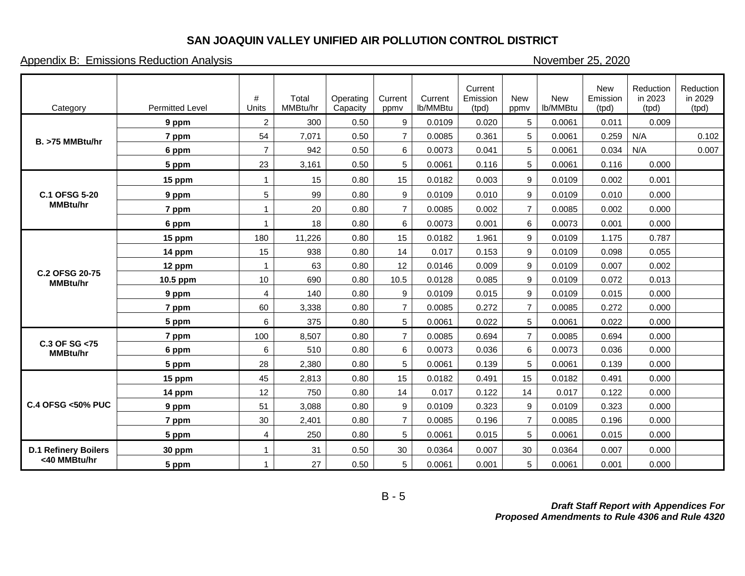#### Appendix B: Emissions Reduction Analysis November 25, 2020

| Category                                 | <b>Permitted Level</b> | #<br>Units     | Total<br>MMBtu/hr | Operating<br>Capacity | Current<br>ppmv | Current<br>lb/MMBtu | Current<br>Emission<br>(tpd) | <b>New</b><br>ppmy | <b>New</b><br>lb/MMBtu | <b>New</b><br>Emission<br>(tpd) | Reduction<br>in 2023<br>(tpd) | Reduction<br>in 2029<br>(tpd) |
|------------------------------------------|------------------------|----------------|-------------------|-----------------------|-----------------|---------------------|------------------------------|--------------------|------------------------|---------------------------------|-------------------------------|-------------------------------|
|                                          | 9 ppm                  | $\overline{c}$ | 300               | 0.50                  | 9               | 0.0109              | 0.020                        | 5                  | 0.0061                 | 0.011                           | 0.009                         |                               |
| B. >75 MMBtu/hr                          | 7 ppm                  | 54             | 7,071             | 0.50                  | $\overline{7}$  | 0.0085              | 0.361                        | 5                  | 0.0061                 | 0.259                           | N/A                           | 0.102                         |
|                                          | 6 ppm                  | $\overline{7}$ | 942               | 0.50                  | 6               | 0.0073              | 0.041                        | $5\phantom{.0}$    | 0.0061                 | 0.034                           | N/A                           | 0.007                         |
|                                          | 5 ppm                  | 23             | 3,161             | 0.50                  | 5               | 0.0061              | 0.116                        | 5                  | 0.0061                 | 0.116                           | 0.000                         |                               |
|                                          | 15 ppm                 | $\mathbf{1}$   | 15                | 0.80                  | 15              | 0.0182              | 0.003                        | 9                  | 0.0109                 | 0.002                           | 0.001                         |                               |
| C.1 OFSG 5-20                            | 9 ppm                  | 5              | 99                | 0.80                  | 9               | 0.0109              | 0.010                        | 9                  | 0.0109                 | 0.010                           | 0.000                         |                               |
| <b>MMBtu/hr</b>                          | 7 ppm                  | $\mathbf{1}$   | 20                | 0.80                  | $\overline{7}$  | 0.0085              | 0.002                        | $\overline{7}$     | 0.0085                 | 0.002                           | 0.000                         |                               |
|                                          | 6 ppm                  | $\mathbf{1}$   | 18                | 0.80                  | 6               | 0.0073              | 0.001                        | 6                  | 0.0073                 | 0.001                           | 0.000                         |                               |
|                                          | 15 ppm                 | 180            | 11,226            | 0.80                  | 15              | 0.0182              | 1.961                        | 9                  | 0.0109                 | 1.175                           | 0.787                         |                               |
|                                          | 14 ppm                 | 15             | 938               | 0.80                  | 14              | 0.017               | 0.153                        | 9                  | 0.0109                 | 0.098                           | 0.055                         |                               |
|                                          | 12 ppm                 | $\mathbf{1}$   | 63                | 0.80                  | 12              | 0.0146              | 0.009                        | 9                  | 0.0109                 | 0.007                           | 0.002                         |                               |
| <b>C.2 OFSG 20-75</b><br><b>MMBtu/hr</b> | 10.5 ppm               | 10             | 690               | 0.80                  | 10.5            | 0.0128              | 0.085                        | 9                  | 0.0109                 | 0.072                           | 0.013                         |                               |
|                                          | 9 ppm                  | 4              | 140               | 0.80                  | 9               | 0.0109              | 0.015                        | 9                  | 0.0109                 | 0.015                           | 0.000                         |                               |
|                                          | 7 ppm                  | 60             | 3,338             | 0.80                  | $\overline{7}$  | 0.0085              | 0.272                        | $\overline{7}$     | 0.0085                 | 0.272                           | 0.000                         |                               |
|                                          | 5 ppm                  | 6              | 375               | 0.80                  | 5               | 0.0061              | 0.022                        | 5                  | 0.0061                 | 0.022                           | 0.000                         |                               |
|                                          | 7 ppm                  | 100            | 8,507             | 0.80                  | $\overline{7}$  | 0.0085              | 0.694                        | $\overline{7}$     | 0.0085                 | 0.694                           | 0.000                         |                               |
| C.3 OF SG <75<br><b>MMBtu/hr</b>         | 6 ppm                  | 6              | 510               | 0.80                  | 6               | 0.0073              | 0.036                        | $\,6\,$            | 0.0073                 | 0.036                           | 0.000                         |                               |
|                                          | 5 ppm                  | 28             | 2,380             | 0.80                  | 5               | 0.0061              | 0.139                        | 5                  | 0.0061                 | 0.139                           | 0.000                         |                               |
|                                          | 15 ppm                 | 45             | 2,813             | 0.80                  | 15              | 0.0182              | 0.491                        | 15                 | 0.0182                 | 0.491                           | 0.000                         |                               |
| <b>C.4 OFSG &lt;50% PUC</b>              | 14 ppm                 | 12             | 750               | 0.80                  | 14              | 0.017               | 0.122                        | 14                 | 0.017                  | 0.122                           | 0.000                         |                               |
|                                          | 9 ppm                  | 51             | 3,088             | 0.80                  | 9               | 0.0109              | 0.323                        | 9                  | 0.0109                 | 0.323                           | 0.000                         |                               |
|                                          | 7 ppm                  | 30             | 2,401             | 0.80                  | $\overline{7}$  | 0.0085              | 0.196                        | $\overline{7}$     | 0.0085                 | 0.196                           | 0.000                         |                               |
|                                          | 5 ppm                  | 4              | 250               | 0.80                  | 5               | 0.0061              | 0.015                        | 5                  | 0.0061                 | 0.015                           | 0.000                         |                               |
| <b>D.1 Refinery Boilers</b>              | 30 ppm                 | $\mathbf{1}$   | 31                | 0.50                  | 30              | 0.0364              | 0.007                        | 30                 | 0.0364                 | 0.007                           | 0.000                         |                               |
| <40 MMBtu/hr                             | 5 ppm                  | $\mathbf{1}$   | 27                | 0.50                  | 5               | 0.0061              | 0.001                        | 5                  | 0.0061                 | 0.001                           | 0.000                         |                               |

*Draft Staff Report with Appendices For Proposed Amendments to Rule 4306 and Rule 4320*